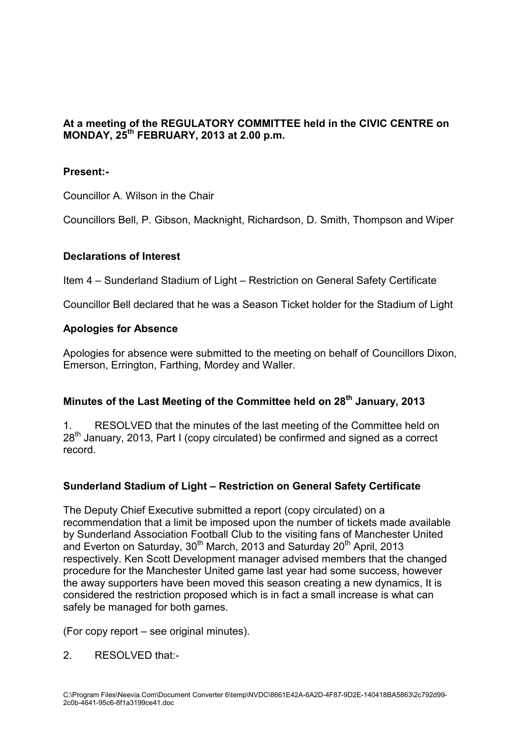# **At a meeting of the REGULATORY COMMITTEE held in the CIVIC CENTRE on MONDAY, 25th FEBRUARY, 2013 at 2.00 p.m.**

## **Present:-**

Councillor A. Wilson in the Chair

Councillors Bell, P. Gibson, Macknight, Richardson, D. Smith, Thompson and Wiper

## **Declarations of Interest**

Item 4 – Sunderland Stadium of Light – Restriction on General Safety Certificate

Councillor Bell declared that he was a Season Ticket holder for the Stadium of Light

#### **Apologies for Absence**

Apologies for absence were submitted to the meeting on behalf of Councillors Dixon, Emerson, Errington, Farthing, Mordey and Waller.

## **Minutes of the Last Meeting of the Committee held on 28th January, 2013**

1. RESOLVED that the minutes of the last meeting of the Committee held on 28<sup>th</sup> January, 2013, Part I (copy circulated) be confirmed and signed as a correct record.

## **Sunderland Stadium of Light – Restriction on General Safety Certificate**

The Deputy Chief Executive submitted a report (copy circulated) on a recommendation that a limit be imposed upon the number of tickets made available by Sunderland Association Football Club to the visiting fans of Manchester United and Everton on Saturday,  $30<sup>th</sup>$  March, 2013 and Saturday 20<sup>th</sup> April, 2013 respectively. Ken Scott Development manager advised members that the changed procedure for the Manchester United game last year had some success, however the away supporters have been moved this season creating a new dynamics, It is considered the restriction proposed which is in fact a small increase is what can safely be managed for both games.

(For copy report – see original minutes).

2. RESOLVED that:-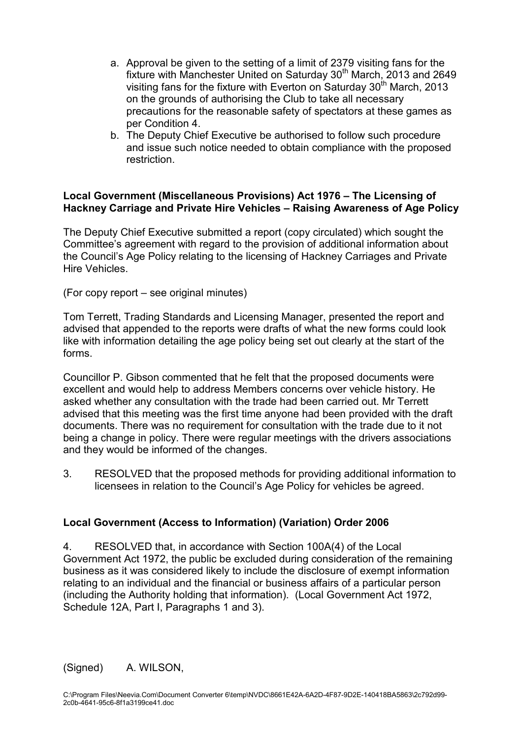- a. Approval be given to the setting of a limit of 2379 visiting fans for the fixture with Manchester United on Saturday 30<sup>th</sup> March, 2013 and 2649 visiting fans for the fixture with Everton on Saturday  $30<sup>th</sup>$  March, 2013 on the grounds of authorising the Club to take all necessary precautions for the reasonable safety of spectators at these games as per Condition 4.
- b. The Deputy Chief Executive be authorised to follow such procedure and issue such notice needed to obtain compliance with the proposed restriction.

#### **Local Government (Miscellaneous Provisions) Act 1976 – The Licensing of Hackney Carriage and Private Hire Vehicles – Raising Awareness of Age Policy**

The Deputy Chief Executive submitted a report (copy circulated) which sought the Committee's agreement with regard to the provision of additional information about the Council's Age Policy relating to the licensing of Hackney Carriages and Private Hire Vehicles.

(For copy report – see original minutes)

Tom Terrett, Trading Standards and Licensing Manager, presented the report and advised that appended to the reports were drafts of what the new forms could look like with information detailing the age policy being set out clearly at the start of the forms.

Councillor P. Gibson commented that he felt that the proposed documents were excellent and would help to address Members concerns over vehicle history. He asked whether any consultation with the trade had been carried out. Mr Terrett advised that this meeting was the first time anyone had been provided with the draft documents. There was no requirement for consultation with the trade due to it not being a change in policy. There were regular meetings with the drivers associations and they would be informed of the changes.

3. RESOLVED that the proposed methods for providing additional information to licensees in relation to the Council's Age Policy for vehicles be agreed.

## **Local Government (Access to Information) (Variation) Order 2006**

4. RESOLVED that, in accordance with Section 100A(4) of the Local Government Act 1972, the public be excluded during consideration of the remaining business as it was considered likely to include the disclosure of exempt information relating to an individual and the financial or business affairs of a particular person (including the Authority holding that information). (Local Government Act 1972, Schedule 12A, Part I, Paragraphs 1 and 3).

(Signed) A. WILSON,